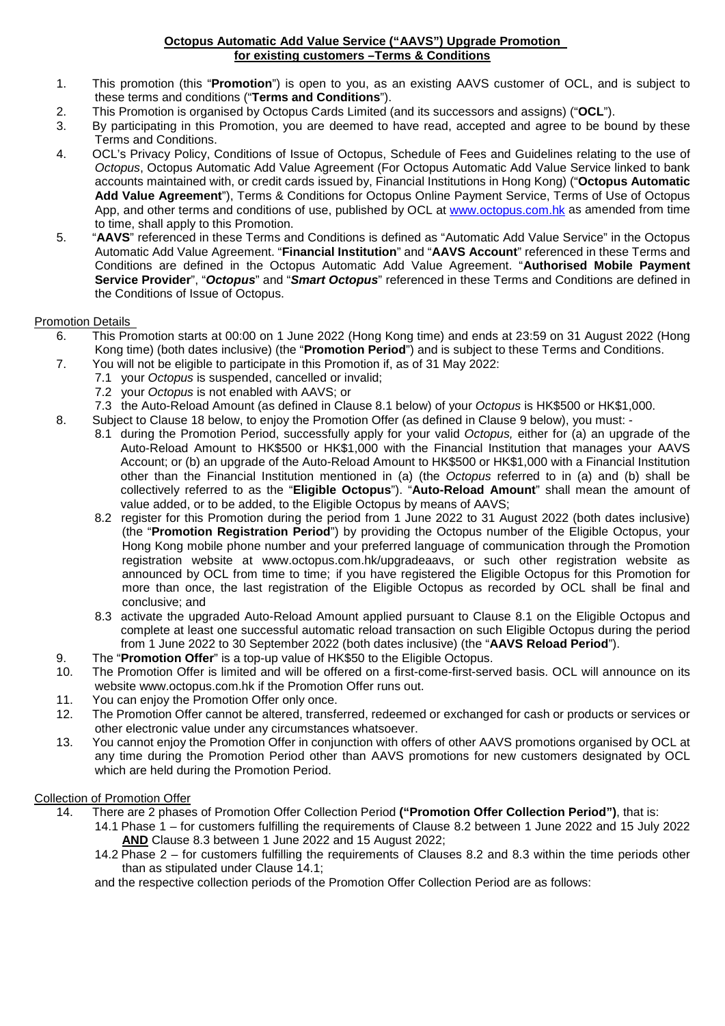#### **Octopus Automatic Add Value Service ("AAVS") Upgrade Promotion for existing customers –Terms & Conditions**

- 1. This promotion (this "**Promotion**") is open to you, as an existing AAVS customer of OCL, and is subject to these terms and conditions ("**Terms and Conditions**").
- 2. This Promotion is organised by Octopus Cards Limited (and its successors and assigns) ("**OCL**").
- By participating in this Promotion, you are deemed to have read, accepted and agree to be bound by these Terms and Conditions.
- 4. OCL's Privacy Policy, Conditions of Issue of Octopus, Schedule of Fees and Guidelines relating to the use of *Octopus*, Octopus Automatic Add Value Agreement (For Octopus Automatic Add Value Service linked to bank accounts maintained with, or credit cards issued by, Financial Institutions in Hong Kong) ("**Octopus Automatic Add Value Agreement**"), Terms & Conditions for Octopus Online Payment Service, Terms of Use of Octopus App, and other terms and conditions of use, published by OCL at [www.octopus.com.hk](http://www.octopus.com.hk/) as amended from time to time, shall apply to this Promotion.
- 5. "**AAVS**" referenced in these Terms and Conditions is defined as "Automatic Add Value Service" in the Octopus Automatic Add Value Agreement. "**Financial Institution**" and "**AAVS Account**" referenced in these Terms and Conditions are defined in the Octopus Automatic Add Value Agreement. "**Authorised Mobile Payment Service Provider**", "*Octopus*" and "*Smart Octopus*" referenced in these Terms and Conditions are defined in the Conditions of Issue of Octopus.

# **Promotion Details**<br>6. This Pro

- 6. This Promotion starts at 00:00 on 1 June 2022 (Hong Kong time) and ends at 23:59 on 31 August 2022 (Hong Kong time) (both dates inclusive) (the "**Promotion Period**") and is subject to these Terms and Conditions.
	- 7. You will not be eligible to participate in this Promotion if, as of 31 May 2022:
		- 7.1 your *Octopus* is suspended, cancelled or invalid;
		- 7.2 your *Octopus* is not enabled with AAVS; or
	- 7.3 the Auto-Reload Amount (as defined in Clause 8.1 below) of your *Octopus* is HK\$500 or HK\$1,000.
	- 8. Subject to Clause 18 below, to enjoy the Promotion Offer (as defined in Clause 9 below), you must:
		- 8.1 during the Promotion Period, successfully apply for your valid *Octopus,* either for (a) an upgrade of the Auto-Reload Amount to HK\$500 or HK\$1,000 with the Financial Institution that manages your AAVS Account; or (b) an upgrade of the Auto-Reload Amount to HK\$500 or HK\$1,000 with a Financial Institution other than the Financial Institution mentioned in (a) (the *Octopus* referred to in (a) and (b) shall be collectively referred to as the "**Eligible Octopus**"). "**Auto-Reload Amount**" shall mean the amount of value added, or to be added, to the Eligible Octopus by means of AAVS;
		- 8.2 register for this Promotion during the period from 1 June 2022 to 31 August 2022 (both dates inclusive) (the "**Promotion Registration Period**") by providing the Octopus number of the Eligible Octopus, your Hong Kong mobile phone number and your preferred language of communication through the Promotion registration website at www.octopus.com.hk/upgradeaavs, or such other registration website as announced by OCL from time to time; if you have registered the Eligible Octopus for this Promotion for more than once, the last registration of the Eligible Octopus as recorded by OCL shall be final and conclusive; and
		- 8.3 activate the upgraded Auto-Reload Amount applied pursuant to Clause 8.1 on the Eligible Octopus and complete at least one successful automatic reload transaction on such Eligible Octopus during the period from 1 June 2022 to 30 September 2022 (both dates inclusive) (the "**AAVS Reload Period**").
	- 9. The "**Promotion Offer**" is a top-up value of HK\$50 to the Eligible Octopus.
	- The Promotion Offer is limited and will be offered on a first-come-first-served basis. OCL will announce on its website www.octopus.com.hk if the Promotion Offer runs out.
	- 11. You can enjoy the Promotion Offer only once.
	- 12. The Promotion Offer cannot be altered, transferred, redeemed or exchanged for cash or products or services or other electronic value under any circumstances whatsoever.
	- 13. You cannot enjoy the Promotion Offer in conjunction with offers of other AAVS promotions organised by OCL at any time during the Promotion Period other than AAVS promotions for new customers designated by OCL which are held during the Promotion Period.

## Collection of Promotion Offer

14. There are 2 phases of Promotion Offer Collection Period **("Promotion Offer Collection Period")**, that is:

14.1 Phase 1 – for customers fulfilling the requirements of Clause 8.2 between 1 June 2022 and 15 July 2022 **AND** Clause 8.3 between 1 June 2022 and 15 August 2022;

14.2 Phase 2 – for customers fulfilling the requirements of Clauses 8.2 and 8.3 within the time periods other than as stipulated under Clause 14.1;

and the respective collection periods of the Promotion Offer Collection Period are as follows: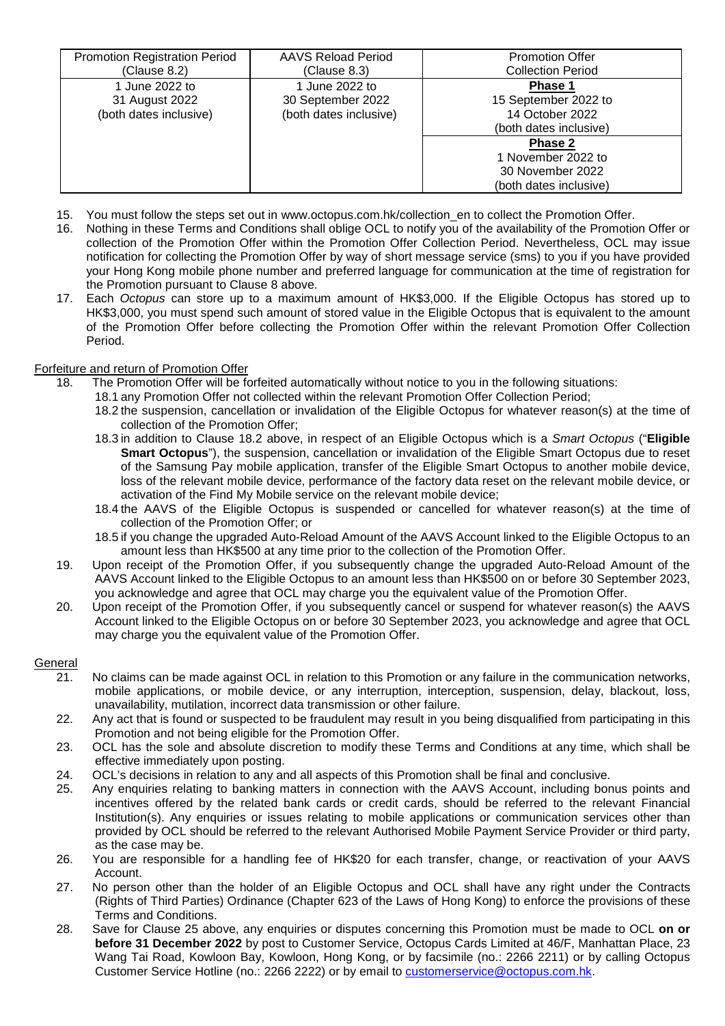| <b>Promotion Registration Period</b><br>(Clause 8.2)       | AAVS Reload Period<br>(Clause 8.3)                            | <b>Promotion Offer</b><br><b>Collection Period</b>                           |
|------------------------------------------------------------|---------------------------------------------------------------|------------------------------------------------------------------------------|
| 1 June 2022 to<br>31 August 2022<br>(both dates inclusive) | 1 June 2022 to<br>30 September 2022<br>(both dates inclusive) | Phase 1<br>15 September 2022 to<br>14 October 2022<br>(both dates inclusive) |
|                                                            |                                                               | Phase 2<br>1 November 2022 to<br>30 November 2022<br>(both dates inclusive)  |

- 15. You must follow the steps set out in [www.octopus.com.hk/collection\\_en](http://www.octopus.com.hk/collection_en) to collect the Promotion Offer.
- 16. Nothing in these Terms and Conditions shall oblige OCL to notify you of the availability of the Promotion Offer or collection of the Promotion Offer within the Promotion Offer Collection Period. Nevertheless, OCL may issue notification for collecting the Promotion Offer by way of short message service (sms) to you if you have provided your Hong Kong mobile phone number and preferred language for communication at the time of registration for the Promotion pursuant to Clause 8 above.
- 17. Each *Octopus* can store up to a maximum amount of HK\$3,000. If the Eligible Octopus has stored up to HK\$3,000, you must spend such amount of stored value in the Eligible Octopus that is equivalent to the amount of the Promotion Offer before collecting the Promotion Offer within the relevant Promotion Offer Collection Period.

## Forfeiture and return of Promotion Offer

- 18. The Promotion Offer will be forfeited automatically without notice to you in the following situations:
	- 18.1 any Promotion Offer not collected within the relevant Promotion Offer Collection Period;
		- 18.2 the suspension, cancellation or invalidation of the Eligible Octopus for whatever reason(s) at the time of collection of the Promotion Offer;
		- 18.3 in addition to Clause 18.2 above, in respect of an Eligible Octopus which is a *Smart Octopus* ("**Eligible Smart Octopus**"), the suspension, cancellation or invalidation of the Eligible Smart Octopus due to reset of the Samsung Pay mobile application, transfer of the Eligible Smart Octopus to another mobile device, loss of the relevant mobile device, performance of the factory data reset on the relevant mobile device, or activation of the Find My Mobile service on the relevant mobile device;
		- 18.4 the AAVS of the Eligible Octopus is suspended or cancelled for whatever reason(s) at the time of collection of the Promotion Offer; or
		- 18.5 if you change the upgraded Auto-Reload Amount of the AAVS Account linked to the Eligible Octopus to an amount less than HK\$500 at any time prior to the collection of the Promotion Offer.
- 19. Upon receipt of the Promotion Offer, if you subsequently change the upgraded Auto-Reload Amount of the AAVS Account linked to the Eligible Octopus to an amount less than HK\$500 on or before 30 September 2023, you acknowledge and agree that OCL may charge you the equivalent value of the Promotion Offer.
- 20. Upon receipt of the Promotion Offer, if you subsequently cancel or suspend for whatever reason(s) the AAVS Account linked to the Eligible Octopus on or before 30 September 2023, you acknowledge and agree that OCL may charge you the equivalent value of the Promotion Offer.

### **General**

- 21. No claims can be made against OCL in relation to this Promotion or any failure in the communication networks, mobile applications, or mobile device, or any interruption, interception, suspension, delay, blackout, loss, unavailability, mutilation, incorrect data transmission or other failure.
- 22. Any act that is found or suspected to be fraudulent may result in you being disqualified from participating in this Promotion and not being eligible for the Promotion Offer.
- 23. OCL has the sole and absolute discretion to modify these Terms and Conditions at any time, which shall be effective immediately upon posting.
- 24. OCL's decisions in relation to any and all aspects of this Promotion shall be final and conclusive.<br>25. Any enguiries relating to banking matters in connection with the AAVS Account, including bon
- 25. Any enquiries relating to banking matters in connection with the AAVS Account, including bonus points and incentives offered by the related bank cards or credit cards, should be referred to the relevant Financial Institution(s). Any enquiries or issues relating to mobile applications or communication services other than provided by OCL should be referred to the relevant Authorised Mobile Payment Service Provider or third party, as the case may be.
- 26. You are responsible for a handling fee of HK\$20 for each transfer, change, or reactivation of your AAVS Account.
- 27. No person other than the holder of an Eligible Octopus and OCL shall have any right under the Contracts (Rights of Third Parties) Ordinance (Chapter 623 of the Laws of Hong Kong) to enforce the provisions of these Terms and Conditions.
- 28. Save for Clause 25 above, any enquiries or disputes concerning this Promotion must be made to OCL **on or before 31 December 2022** by post to Customer Service, Octopus Cards Limited at 46/F, Manhattan Place, 23 Wang Tai Road, Kowloon Bay, Kowloon, Hong Kong, or by facsimile (no.: 2266 2211) or by calling Octopus Customer Service Hotline (no.: 2266 2222) or by email to [customerservice@octopus.com.hk.](mailto:customerservice@octopus.com.hk)